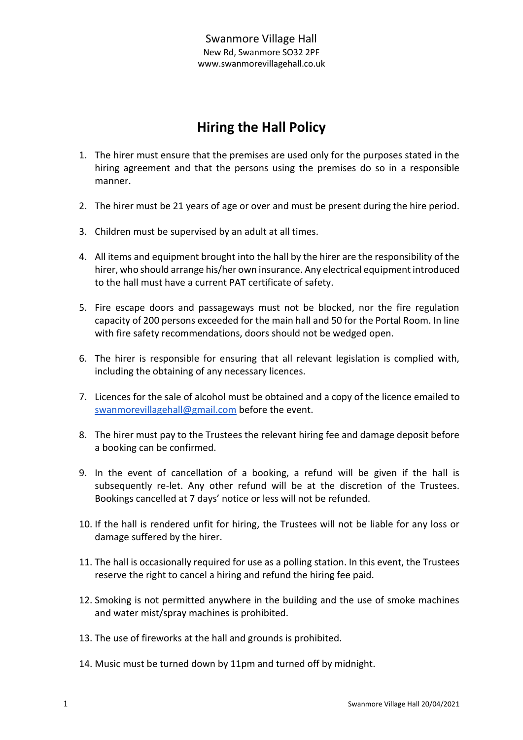# **Hiring the Hall Policy**

- 1. The hirer must ensure that the premises are used only for the purposes stated in the hiring agreement and that the persons using the premises do so in a responsible manner.
- 2. The hirer must be 21 years of age or over and must be present during the hire period.
- 3. Children must be supervised by an adult at all times.
- 4. All items and equipment brought into the hall by the hirer are the responsibility of the hirer, who should arrange his/her own insurance. Any electrical equipment introduced to the hall must have a current PAT certificate of safety.
- 5. Fire escape doors and passageways must not be blocked, nor the fire regulation capacity of 200 persons exceeded for the main hall and 50 for the Portal Room. In line with fire safety recommendations, doors should not be wedged open.
- 6. The hirer is responsible for ensuring that all relevant legislation is complied with, including the obtaining of any necessary licences.
- 7. Licences for the sale of alcohol must be obtained and a copy of the licence emailed to [swanmorevillagehall@gmail.com](mailto:swanmorevillagehall@gmail.com) before the event.
- 8. The hirer must pay to the Trustees the relevant hiring fee and damage deposit before a booking can be confirmed.
- 9. In the event of cancellation of a booking, a refund will be given if the hall is subsequently re-let. Any other refund will be at the discretion of the Trustees. Bookings cancelled at 7 days' notice or less will not be refunded.
- 10. If the hall is rendered unfit for hiring, the Trustees will not be liable for any loss or damage suffered by the hirer.
- 11. The hall is occasionally required for use as a polling station. In this event, the Trustees reserve the right to cancel a hiring and refund the hiring fee paid.
- 12. Smoking is not permitted anywhere in the building and the use of smoke machines and water mist/spray machines is prohibited.
- 13. The use of fireworks at the hall and grounds is prohibited.
- 14. Music must be turned down by 11pm and turned off by midnight.